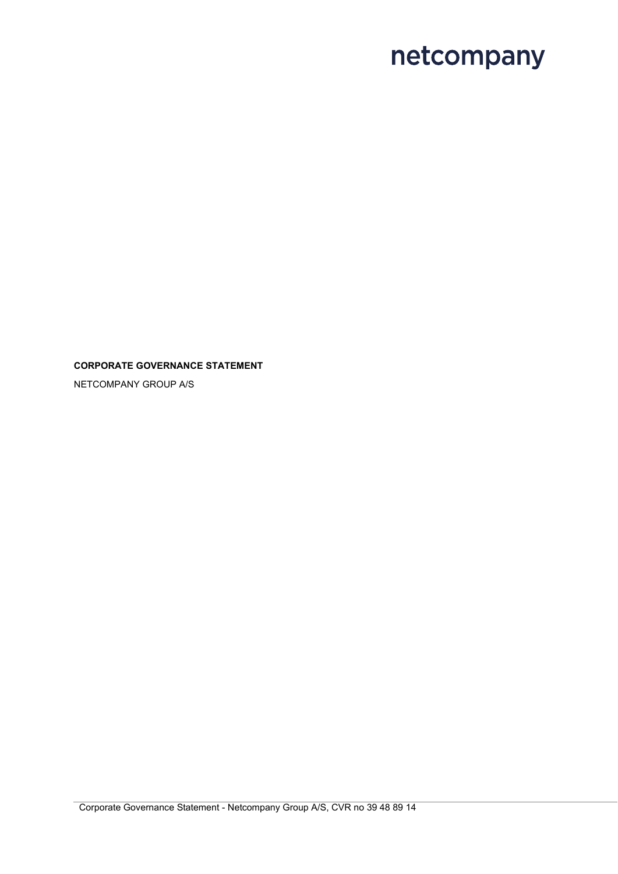### **CORPORATE GOVERNANCE STATEMENT**

NETCOMPANY GROUP A/S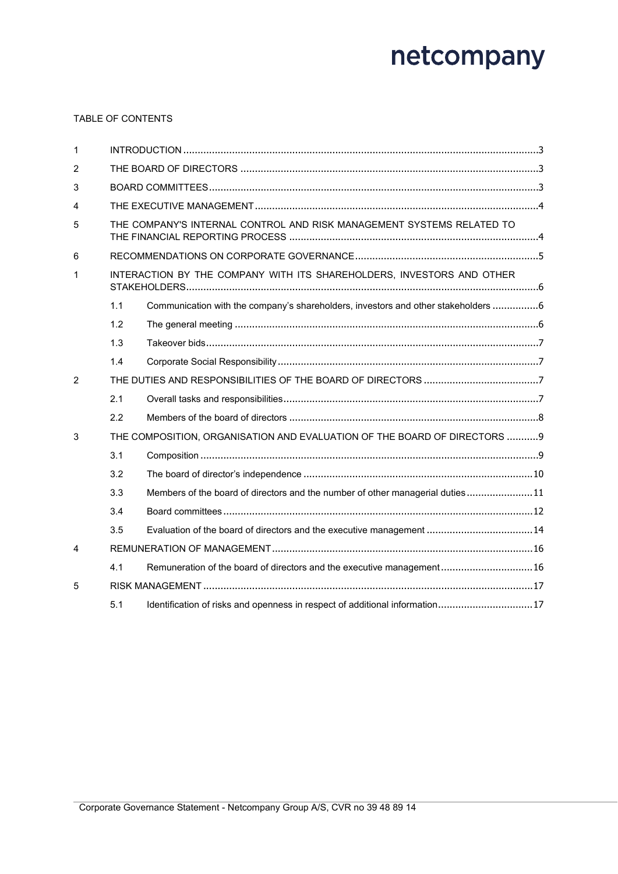### TABLE OF CONTENTS

| $\mathbf{1}$   |     |                                                                                  |  |  |
|----------------|-----|----------------------------------------------------------------------------------|--|--|
| $\overline{2}$ |     |                                                                                  |  |  |
| 3              |     |                                                                                  |  |  |
| $\overline{4}$ |     |                                                                                  |  |  |
| 5              |     | THE COMPANY'S INTERNAL CONTROL AND RISK MANAGEMENT SYSTEMS RELATED TO            |  |  |
| 6              |     |                                                                                  |  |  |
| $\mathbf 1$    |     | INTERACTION BY THE COMPANY WITH ITS SHAREHOLDERS, INVESTORS AND OTHER            |  |  |
|                | 1.1 | Communication with the company's shareholders, investors and other stakeholders6 |  |  |
|                | 1.2 |                                                                                  |  |  |
|                | 1.3 |                                                                                  |  |  |
|                | 1.4 |                                                                                  |  |  |
| $\overline{2}$ |     |                                                                                  |  |  |
|                | 2.1 |                                                                                  |  |  |
|                | 2.2 |                                                                                  |  |  |
| 3              |     | THE COMPOSITION, ORGANISATION AND EVALUATION OF THE BOARD OF DIRECTORS  9        |  |  |
|                | 3.1 |                                                                                  |  |  |
|                | 3.2 |                                                                                  |  |  |
|                | 3.3 | Members of the board of directors and the number of other managerial duties11    |  |  |
|                | 3.4 |                                                                                  |  |  |
|                | 3.5 | Evaluation of the board of directors and the executive management 14             |  |  |
| $\overline{4}$ |     |                                                                                  |  |  |
|                | 4.1 | Remuneration of the board of directors and the executive management16            |  |  |
| 5              |     |                                                                                  |  |  |
|                | 5.1 | Identification of risks and openness in respect of additional information17      |  |  |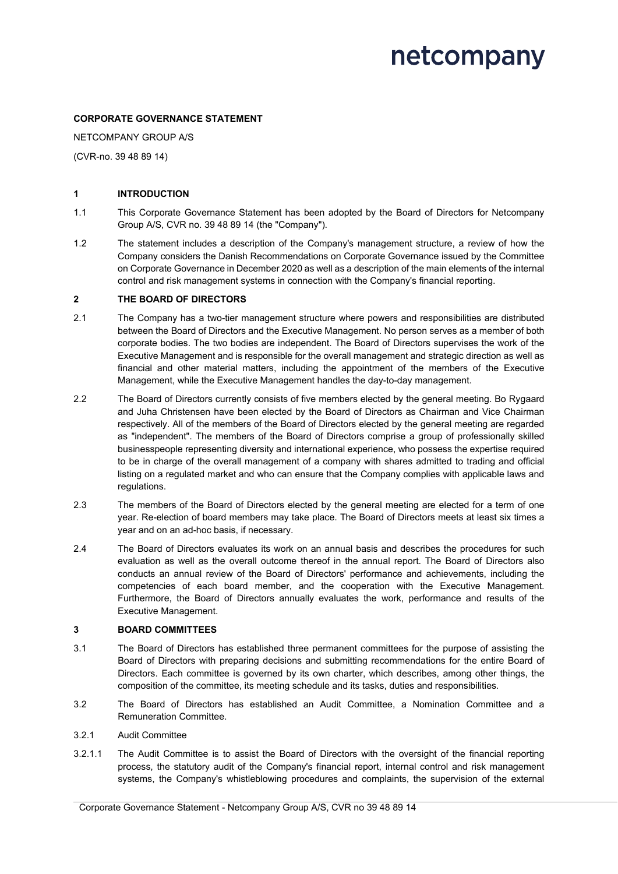#### **CORPORATE GOVERNANCE STATEMENT**

NETCOMPANY GROUP A/S

(CVR-no. 39 48 89 14)

#### **1 INTRODUCTION**

- 1.1 This Corporate Governance Statement has been adopted by the Board of Directors for Netcompany Group A/S, CVR no. 39 48 89 14 (the "Company").
- 1.2 The statement includes a description of the Company's management structure, a review of how the Company considers the Danish Recommendations on Corporate Governance issued by the Committee on Corporate Governance in December 2020 as well as a description of the main elements of the internal control and risk management systems in connection with the Company's financial reporting.

#### **2 THE BOARD OF DIRECTORS**

- 2.1 The Company has a two-tier management structure where powers and responsibilities are distributed between the Board of Directors and the Executive Management. No person serves as a member of both corporate bodies. The two bodies are independent. The Board of Directors supervises the work of the Executive Management and is responsible for the overall management and strategic direction as well as financial and other material matters, including the appointment of the members of the Executive Management, while the Executive Management handles the day-to-day management.
- 2.2 The Board of Directors currently consists of five members elected by the general meeting. Bo Rygaard and Juha Christensen have been elected by the Board of Directors as Chairman and Vice Chairman respectively. All of the members of the Board of Directors elected by the general meeting are regarded as "independent". The members of the Board of Directors comprise a group of professionally skilled businesspeople representing diversity and international experience, who possess the expertise required to be in charge of the overall management of a company with shares admitted to trading and official listing on a regulated market and who can ensure that the Company complies with applicable laws and regulations.
- 2.3 The members of the Board of Directors elected by the general meeting are elected for a term of one year. Re-election of board members may take place. The Board of Directors meets at least six times a year and on an ad-hoc basis, if necessary.
- 2.4 The Board of Directors evaluates its work on an annual basis and describes the procedures for such evaluation as well as the overall outcome thereof in the annual report. The Board of Directors also conducts an annual review of the Board of Directors' performance and achievements, including the competencies of each board member, and the cooperation with the Executive Management. Furthermore, the Board of Directors annually evaluates the work, performance and results of the Executive Management.

#### **3 BOARD COMMITTEES**

- 3.1 The Board of Directors has established three permanent committees for the purpose of assisting the Board of Directors with preparing decisions and submitting recommendations for the entire Board of Directors. Each committee is governed by its own charter, which describes, among other things, the composition of the committee, its meeting schedule and its tasks, duties and responsibilities.
- 3.2 The Board of Directors has established an Audit Committee, a Nomination Committee and a Remuneration Committee.

#### 3.2.1 Audit Committee

3.2.1.1 The Audit Committee is to assist the Board of Directors with the oversight of the financial reporting process, the statutory audit of the Company's financial report, internal control and risk management systems, the Company's whistleblowing procedures and complaints, the supervision of the external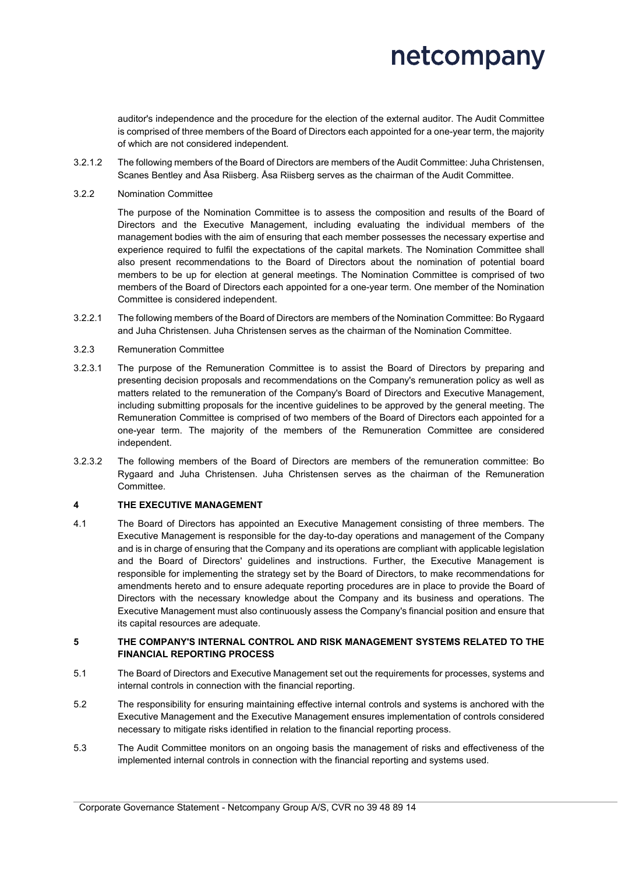auditor's independence and the procedure for the election of the external auditor. The Audit Committee is comprised of three members of the Board of Directors each appointed for a one-year term, the majority of which are not considered independent.

- 3.2.1.2 The following members of the Board of Directors are members of the Audit Committee: Juha Christensen, Scanes Bentley and Åsa Riisberg. Åsa Riisberg serves as the chairman of the Audit Committee.
- 3.2.2 Nomination Committee

The purpose of the Nomination Committee is to assess the composition and results of the Board of Directors and the Executive Management, including evaluating the individual members of the management bodies with the aim of ensuring that each member possesses the necessary expertise and experience required to fulfil the expectations of the capital markets. The Nomination Committee shall also present recommendations to the Board of Directors about the nomination of potential board members to be up for election at general meetings. The Nomination Committee is comprised of two members of the Board of Directors each appointed for a one-year term. One member of the Nomination Committee is considered independent.

- 3.2.2.1 The following members of the Board of Directors are members of the Nomination Committee: Bo Rygaard and Juha Christensen. Juha Christensen serves as the chairman of the Nomination Committee.
- 3.2.3 Remuneration Committee
- 3.2.3.1 The purpose of the Remuneration Committee is to assist the Board of Directors by preparing and presenting decision proposals and recommendations on the Company's remuneration policy as well as matters related to the remuneration of the Company's Board of Directors and Executive Management, including submitting proposals for the incentive guidelines to be approved by the general meeting. The Remuneration Committee is comprised of two members of the Board of Directors each appointed for a one-year term. The majority of the members of the Remuneration Committee are considered independent.
- 3.2.3.2 The following members of the Board of Directors are members of the remuneration committee: Bo Rygaard and Juha Christensen. Juha Christensen serves as the chairman of the Remuneration Committee.

### **4 THE EXECUTIVE MANAGEMENT**

4.1 The Board of Directors has appointed an Executive Management consisting of three members. The Executive Management is responsible for the day-to-day operations and management of the Company and is in charge of ensuring that the Company and its operations are compliant with applicable legislation and the Board of Directors' guidelines and instructions. Further, the Executive Management is responsible for implementing the strategy set by the Board of Directors, to make recommendations for amendments hereto and to ensure adequate reporting procedures are in place to provide the Board of Directors with the necessary knowledge about the Company and its business and operations. The Executive Management must also continuously assess the Company's financial position and ensure that its capital resources are adequate.

#### **5 THE COMPANY'S INTERNAL CONTROL AND RISK MANAGEMENT SYSTEMS RELATED TO THE FINANCIAL REPORTING PROCESS**

- 5.1 The Board of Directors and Executive Management set out the requirements for processes, systems and internal controls in connection with the financial reporting.
- 5.2 The responsibility for ensuring maintaining effective internal controls and systems is anchored with the Executive Management and the Executive Management ensures implementation of controls considered necessary to mitigate risks identified in relation to the financial reporting process.
- 5.3 The Audit Committee monitors on an ongoing basis the management of risks and effectiveness of the implemented internal controls in connection with the financial reporting and systems used.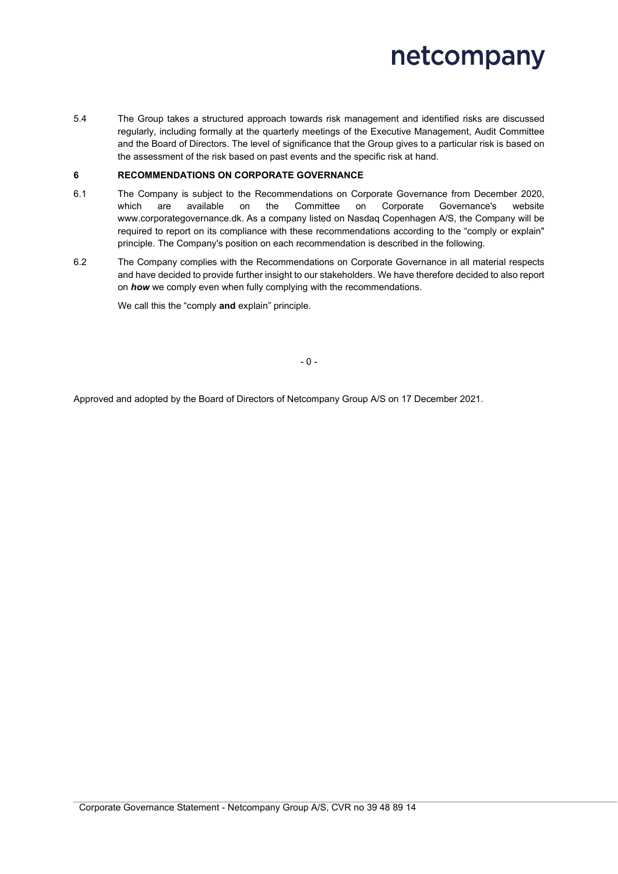5.4 The Group takes a structured approach towards risk management and identified risks are discussed regularly, including formally at the quarterly meetings of the Executive Management, Audit Committee and the Board of Directors. The level of significance that the Group gives to a particular risk is based on the assessment of the risk based on past events and the specific risk at hand.

#### **6 RECOMMENDATIONS ON CORPORATE GOVERNANCE**

- 6.1 The Company is subject to the Recommendations on Corporate Governance from December 2020, which are available on the Committee on Corporate Governance's website www.corporategovernance.dk. As a company listed on Nasdaq Copenhagen A/S, the Company will be required to report on its compliance with these recommendations according to the "comply or explain" principle. The Company's position on each recommendation is described in the following.
- 6.2 The Company complies with the Recommendations on Corporate Governance in all material respects and have decided to provide further insight to our stakeholders. We have therefore decided to also report on *how* we comply even when fully complying with the recommendations.

We call this the "comply **and** explain" principle.

Approved and adopted by the Board of Directors of Netcompany Group A/S on 17 December 2021.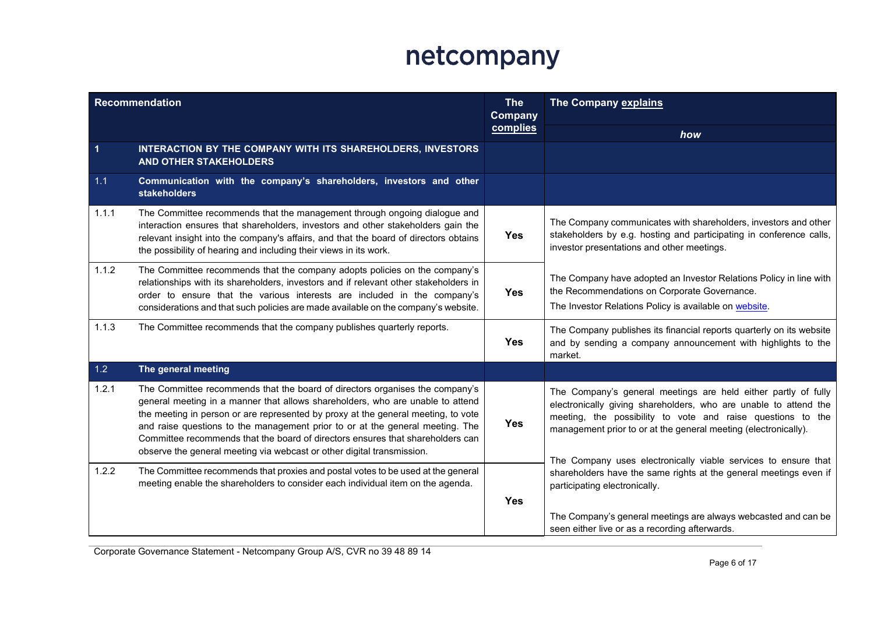| <b>Recommendation</b> |                                                                                                                                                                                                                                                                                                                                                                                                                                                                                                  | <b>The</b><br>Company | The Company explains                                                                                                                                                                                                                                                                                                                   |  |
|-----------------------|--------------------------------------------------------------------------------------------------------------------------------------------------------------------------------------------------------------------------------------------------------------------------------------------------------------------------------------------------------------------------------------------------------------------------------------------------------------------------------------------------|-----------------------|----------------------------------------------------------------------------------------------------------------------------------------------------------------------------------------------------------------------------------------------------------------------------------------------------------------------------------------|--|
|                       |                                                                                                                                                                                                                                                                                                                                                                                                                                                                                                  | complies              | how                                                                                                                                                                                                                                                                                                                                    |  |
| $\mathbf{1}$          | INTERACTION BY THE COMPANY WITH ITS SHAREHOLDERS, INVESTORS<br><b>AND OTHER STAKEHOLDERS</b>                                                                                                                                                                                                                                                                                                                                                                                                     |                       |                                                                                                                                                                                                                                                                                                                                        |  |
| 1.1                   | Communication with the company's shareholders, investors and other<br><b>stakeholders</b>                                                                                                                                                                                                                                                                                                                                                                                                        |                       |                                                                                                                                                                                                                                                                                                                                        |  |
| 1.1.1                 | The Committee recommends that the management through ongoing dialogue and<br>interaction ensures that shareholders, investors and other stakeholders gain the<br>relevant insight into the company's affairs, and that the board of directors obtains<br>the possibility of hearing and including their views in its work.                                                                                                                                                                       | <b>Yes</b>            | The Company communicates with shareholders, investors and other<br>stakeholders by e.g. hosting and participating in conference calls,<br>investor presentations and other meetings.                                                                                                                                                   |  |
| 1.1.2                 | The Committee recommends that the company adopts policies on the company's<br>relationships with its shareholders, investors and if relevant other stakeholders in<br>order to ensure that the various interests are included in the company's<br>considerations and that such policies are made available on the company's website.                                                                                                                                                             | <b>Yes</b>            | The Company have adopted an Investor Relations Policy in line with<br>the Recommendations on Corporate Governance.<br>The Investor Relations Policy is available on website.                                                                                                                                                           |  |
| 1.1.3                 | The Committee recommends that the company publishes quarterly reports.                                                                                                                                                                                                                                                                                                                                                                                                                           | <b>Yes</b>            | The Company publishes its financial reports quarterly on its website<br>and by sending a company announcement with highlights to the<br>market.                                                                                                                                                                                        |  |
| 1.2                   | The general meeting                                                                                                                                                                                                                                                                                                                                                                                                                                                                              |                       |                                                                                                                                                                                                                                                                                                                                        |  |
| 1.2.1                 | The Committee recommends that the board of directors organises the company's<br>general meeting in a manner that allows shareholders, who are unable to attend<br>the meeting in person or are represented by proxy at the general meeting, to vote<br>and raise questions to the management prior to or at the general meeting. The<br>Committee recommends that the board of directors ensures that shareholders can<br>observe the general meeting via webcast or other digital transmission. | <b>Yes</b>            | The Company's general meetings are held either partly of fully<br>electronically giving shareholders, who are unable to attend the<br>meeting, the possibility to vote and raise questions to the<br>management prior to or at the general meeting (electronically).<br>The Company uses electronically viable services to ensure that |  |
| 1.2.2                 | The Committee recommends that proxies and postal votes to be used at the general<br>meeting enable the shareholders to consider each individual item on the agenda.                                                                                                                                                                                                                                                                                                                              | <b>Yes</b>            | shareholders have the same rights at the general meetings even if<br>participating electronically.                                                                                                                                                                                                                                     |  |
|                       |                                                                                                                                                                                                                                                                                                                                                                                                                                                                                                  |                       | The Company's general meetings are always webcasted and can be<br>seen either live or as a recording afterwards.                                                                                                                                                                                                                       |  |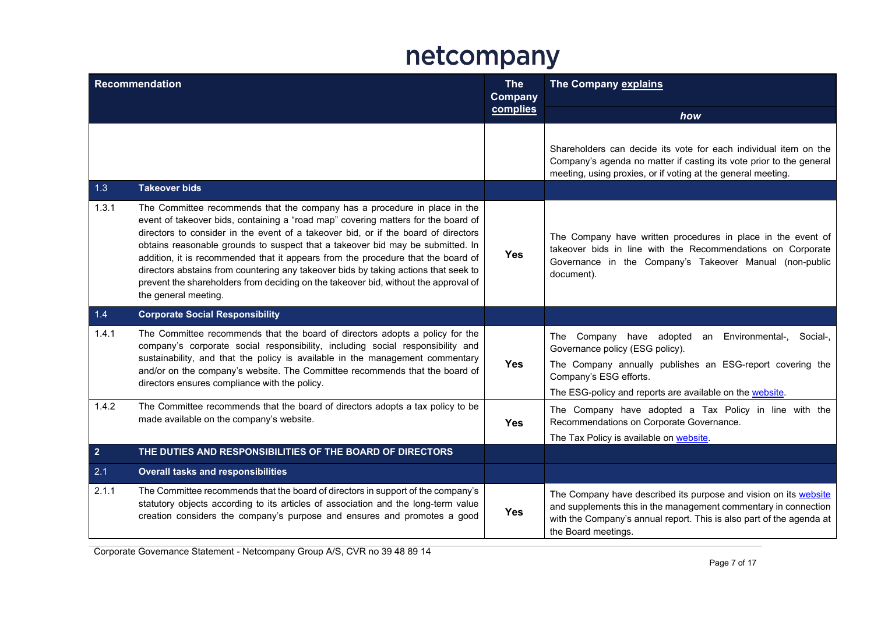| <b>Recommendation</b> |                                                                                                                                                                                                                                                                                                                                                                                                                                                                                                                                                                                                                                  | <b>The</b><br>Company | <b>The Company explains</b>                                                                                                                                                                                                                |  |
|-----------------------|----------------------------------------------------------------------------------------------------------------------------------------------------------------------------------------------------------------------------------------------------------------------------------------------------------------------------------------------------------------------------------------------------------------------------------------------------------------------------------------------------------------------------------------------------------------------------------------------------------------------------------|-----------------------|--------------------------------------------------------------------------------------------------------------------------------------------------------------------------------------------------------------------------------------------|--|
|                       |                                                                                                                                                                                                                                                                                                                                                                                                                                                                                                                                                                                                                                  | complies              | how                                                                                                                                                                                                                                        |  |
| 1.3                   | <b>Takeover bids</b>                                                                                                                                                                                                                                                                                                                                                                                                                                                                                                                                                                                                             |                       | Shareholders can decide its vote for each individual item on the<br>Company's agenda no matter if casting its vote prior to the general<br>meeting, using proxies, or if voting at the general meeting.                                    |  |
| 1.3.1                 | The Committee recommends that the company has a procedure in place in the<br>event of takeover bids, containing a "road map" covering matters for the board of<br>directors to consider in the event of a takeover bid, or if the board of directors<br>obtains reasonable grounds to suspect that a takeover bid may be submitted. In<br>addition, it is recommended that it appears from the procedure that the board of<br>directors abstains from countering any takeover bids by taking actions that seek to<br>prevent the shareholders from deciding on the takeover bid, without the approval of<br>the general meeting. | <b>Yes</b>            | The Company have written procedures in place in the event of<br>takeover bids in line with the Recommendations on Corporate<br>Governance in the Company's Takeover Manual (non-public<br>document).                                       |  |
| 1.4                   | <b>Corporate Social Responsibility</b>                                                                                                                                                                                                                                                                                                                                                                                                                                                                                                                                                                                           |                       |                                                                                                                                                                                                                                            |  |
| 1.4.1                 | The Committee recommends that the board of directors adopts a policy for the<br>company's corporate social responsibility, including social responsibility and<br>sustainability, and that the policy is available in the management commentary<br>and/or on the company's website. The Committee recommends that the board of<br>directors ensures compliance with the policy.                                                                                                                                                                                                                                                  | <b>Yes</b>            | The Company have adopted an Environmental-, Social-,<br>Governance policy (ESG policy).<br>The Company annually publishes an ESG-report covering the<br>Company's ESG efforts.<br>The ESG-policy and reports are available on the website. |  |
| 1.4.2                 | The Committee recommends that the board of directors adopts a tax policy to be<br>made available on the company's website.                                                                                                                                                                                                                                                                                                                                                                                                                                                                                                       | <b>Yes</b>            | The Company have adopted a Tax Policy in line with the<br>Recommendations on Corporate Governance.<br>The Tax Policy is available on website.                                                                                              |  |
| $\overline{2}$        | THE DUTIES AND RESPONSIBILITIES OF THE BOARD OF DIRECTORS                                                                                                                                                                                                                                                                                                                                                                                                                                                                                                                                                                        |                       |                                                                                                                                                                                                                                            |  |
| 2.1                   | <b>Overall tasks and responsibilities</b>                                                                                                                                                                                                                                                                                                                                                                                                                                                                                                                                                                                        |                       |                                                                                                                                                                                                                                            |  |
| 2.1.1                 | The Committee recommends that the board of directors in support of the company's<br>statutory objects according to its articles of association and the long-term value<br>creation considers the company's purpose and ensures and promotes a good                                                                                                                                                                                                                                                                                                                                                                               | <b>Yes</b>            | The Company have described its purpose and vision on its website<br>and supplements this in the management commentary in connection<br>with the Company's annual report. This is also part of the agenda at<br>the Board meetings.         |  |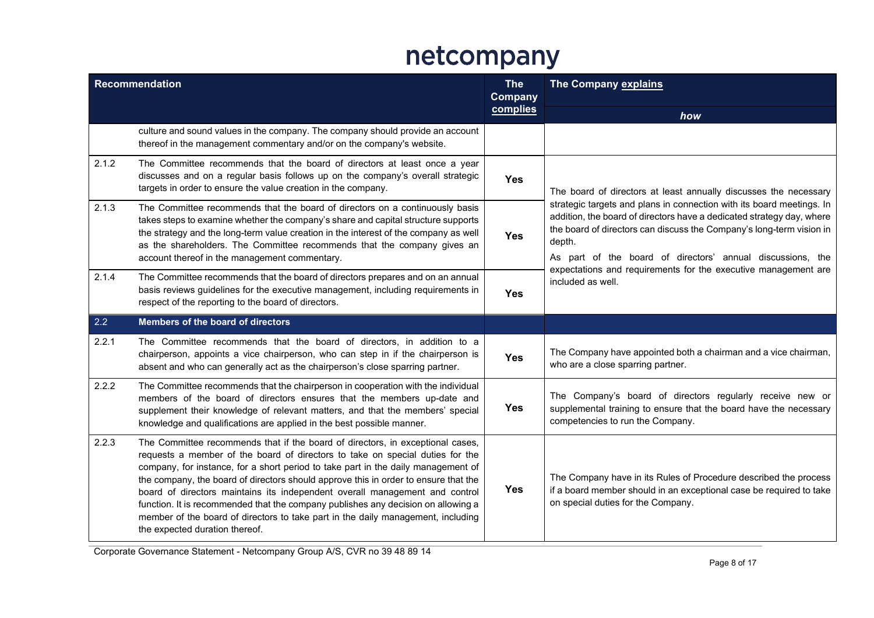| <b>Recommendation</b> |                                                                                                                                                                                                                                                                                                                                                                                                                                                                                                                                                                                                                                       | <b>The</b><br><b>Company</b> | The Company explains                                                                                                                                                                                                                                                                           |
|-----------------------|---------------------------------------------------------------------------------------------------------------------------------------------------------------------------------------------------------------------------------------------------------------------------------------------------------------------------------------------------------------------------------------------------------------------------------------------------------------------------------------------------------------------------------------------------------------------------------------------------------------------------------------|------------------------------|------------------------------------------------------------------------------------------------------------------------------------------------------------------------------------------------------------------------------------------------------------------------------------------------|
|                       |                                                                                                                                                                                                                                                                                                                                                                                                                                                                                                                                                                                                                                       | complies                     | how                                                                                                                                                                                                                                                                                            |
|                       | culture and sound values in the company. The company should provide an account<br>thereof in the management commentary and/or on the company's website.                                                                                                                                                                                                                                                                                                                                                                                                                                                                               |                              |                                                                                                                                                                                                                                                                                                |
| 2.1.2                 | The Committee recommends that the board of directors at least once a year<br>discusses and on a regular basis follows up on the company's overall strategic<br>targets in order to ensure the value creation in the company.                                                                                                                                                                                                                                                                                                                                                                                                          | <b>Yes</b>                   | The board of directors at least annually discusses the necessary                                                                                                                                                                                                                               |
| 2.1.3                 | The Committee recommends that the board of directors on a continuously basis<br>takes steps to examine whether the company's share and capital structure supports<br>the strategy and the long-term value creation in the interest of the company as well<br>as the shareholders. The Committee recommends that the company gives an<br>account thereof in the management commentary.                                                                                                                                                                                                                                                 | <b>Yes</b>                   | strategic targets and plans in connection with its board meetings. In<br>addition, the board of directors have a dedicated strategy day, where<br>the board of directors can discuss the Company's long-term vision in<br>depth.<br>As part of the board of directors' annual discussions, the |
| 2.1.4                 | The Committee recommends that the board of directors prepares and on an annual<br>basis reviews guidelines for the executive management, including requirements in<br>respect of the reporting to the board of directors.                                                                                                                                                                                                                                                                                                                                                                                                             | <b>Yes</b>                   | expectations and requirements for the executive management are<br>included as well.                                                                                                                                                                                                            |
| 2.2                   | Members of the board of directors                                                                                                                                                                                                                                                                                                                                                                                                                                                                                                                                                                                                     |                              |                                                                                                                                                                                                                                                                                                |
| 2.2.1                 | The Committee recommends that the board of directors, in addition to a<br>chairperson, appoints a vice chairperson, who can step in if the chairperson is<br>absent and who can generally act as the chairperson's close sparring partner.                                                                                                                                                                                                                                                                                                                                                                                            | <b>Yes</b>                   | The Company have appointed both a chairman and a vice chairman,<br>who are a close sparring partner.                                                                                                                                                                                           |
| 2.2.2                 | The Committee recommends that the chairperson in cooperation with the individual<br>members of the board of directors ensures that the members up-date and<br>supplement their knowledge of relevant matters, and that the members' special<br>knowledge and qualifications are applied in the best possible manner.                                                                                                                                                                                                                                                                                                                  | <b>Yes</b>                   | The Company's board of directors regularly receive new or<br>supplemental training to ensure that the board have the necessary<br>competencies to run the Company.                                                                                                                             |
| 2.2.3                 | The Committee recommends that if the board of directors, in exceptional cases,<br>requests a member of the board of directors to take on special duties for the<br>company, for instance, for a short period to take part in the daily management of<br>the company, the board of directors should approve this in order to ensure that the<br>board of directors maintains its independent overall management and control<br>function. It is recommended that the company publishes any decision on allowing a<br>member of the board of directors to take part in the daily management, including<br>the expected duration thereof. | <b>Yes</b>                   | The Company have in its Rules of Procedure described the process<br>if a board member should in an exceptional case be required to take<br>on special duties for the Company.                                                                                                                  |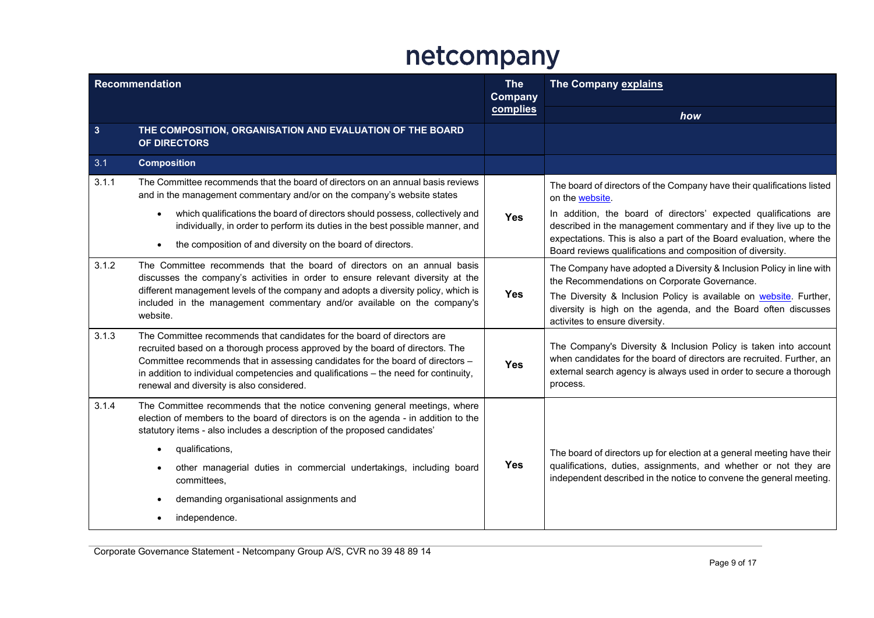| <b>Recommendation</b> |                                                                                                                                                                                                                                                                                                                                                                                 | <b>The</b><br>Company | The Company explains                                                                                                                                                                                                                                                        |
|-----------------------|---------------------------------------------------------------------------------------------------------------------------------------------------------------------------------------------------------------------------------------------------------------------------------------------------------------------------------------------------------------------------------|-----------------------|-----------------------------------------------------------------------------------------------------------------------------------------------------------------------------------------------------------------------------------------------------------------------------|
|                       |                                                                                                                                                                                                                                                                                                                                                                                 | complies              | how                                                                                                                                                                                                                                                                         |
| $\mathbf{3}$          | THE COMPOSITION, ORGANISATION AND EVALUATION OF THE BOARD<br>OF DIRECTORS                                                                                                                                                                                                                                                                                                       |                       |                                                                                                                                                                                                                                                                             |
| 3.1                   | <b>Composition</b>                                                                                                                                                                                                                                                                                                                                                              |                       |                                                                                                                                                                                                                                                                             |
| 3.1.1                 | The Committee recommends that the board of directors on an annual basis reviews<br>and in the management commentary and/or on the company's website states                                                                                                                                                                                                                      |                       | The board of directors of the Company have their qualifications listed<br>on the website.                                                                                                                                                                                   |
|                       | which qualifications the board of directors should possess, collectively and<br>$\bullet$<br>individually, in order to perform its duties in the best possible manner, and<br>the composition of and diversity on the board of directors.<br>$\bullet$                                                                                                                          | <b>Yes</b>            | In addition, the board of directors' expected qualifications are<br>described in the management commentary and if they live up to the<br>expectations. This is also a part of the Board evaluation, where the<br>Board reviews qualifications and composition of diversity. |
| 3.1.2                 | The Committee recommends that the board of directors on an annual basis<br>discusses the company's activities in order to ensure relevant diversity at the                                                                                                                                                                                                                      |                       | The Company have adopted a Diversity & Inclusion Policy in line with<br>the Recommendations on Corporate Governance.                                                                                                                                                        |
|                       | different management levels of the company and adopts a diversity policy, which is<br>included in the management commentary and/or available on the company's<br>website.                                                                                                                                                                                                       | <b>Yes</b>            | The Diversity & Inclusion Policy is available on website. Further,<br>diversity is high on the agenda, and the Board often discusses<br>activites to ensure diversity.                                                                                                      |
| 3.1.3                 | The Committee recommends that candidates for the board of directors are<br>recruited based on a thorough process approved by the board of directors. The<br>Committee recommends that in assessing candidates for the board of directors -<br>in addition to individual competencies and qualifications - the need for continuity,<br>renewal and diversity is also considered. | <b>Yes</b>            | The Company's Diversity & Inclusion Policy is taken into account<br>when candidates for the board of directors are recruited. Further, an<br>external search agency is always used in order to secure a thorough<br>process.                                                |
| 3.1.4                 | The Committee recommends that the notice convening general meetings, where<br>election of members to the board of directors is on the agenda - in addition to the<br>statutory items - also includes a description of the proposed candidates'                                                                                                                                  |                       |                                                                                                                                                                                                                                                                             |
|                       | qualifications,<br>$\bullet$                                                                                                                                                                                                                                                                                                                                                    |                       | The board of directors up for election at a general meeting have their                                                                                                                                                                                                      |
|                       | other managerial duties in commercial undertakings, including board<br>$\bullet$<br>committees.                                                                                                                                                                                                                                                                                 | <b>Yes</b>            | qualifications, duties, assignments, and whether or not they are<br>independent described in the notice to convene the general meeting.                                                                                                                                     |
|                       | demanding organisational assignments and                                                                                                                                                                                                                                                                                                                                        |                       |                                                                                                                                                                                                                                                                             |
|                       | independence.<br>$\bullet$                                                                                                                                                                                                                                                                                                                                                      |                       |                                                                                                                                                                                                                                                                             |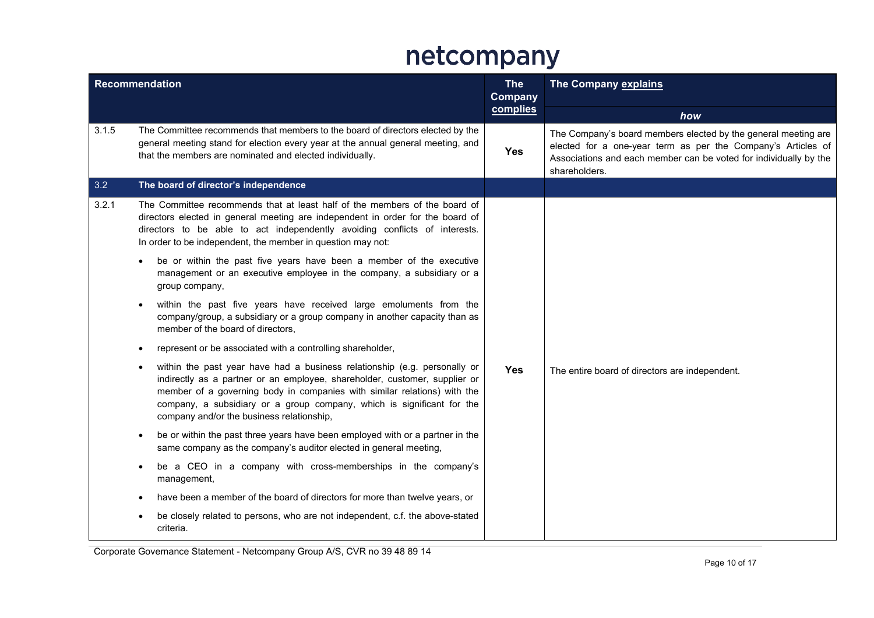| Recommendation |                                                                                                                                                                                                                                                                                                                                                                         | <b>The</b><br><b>Company</b> | The Company explains                                                                                                                                                                                                 |  |
|----------------|-------------------------------------------------------------------------------------------------------------------------------------------------------------------------------------------------------------------------------------------------------------------------------------------------------------------------------------------------------------------------|------------------------------|----------------------------------------------------------------------------------------------------------------------------------------------------------------------------------------------------------------------|--|
|                |                                                                                                                                                                                                                                                                                                                                                                         | complies                     | how                                                                                                                                                                                                                  |  |
| 3.1.5          | The Committee recommends that members to the board of directors elected by the<br>general meeting stand for election every year at the annual general meeting, and<br>that the members are nominated and elected individually.                                                                                                                                          | <b>Yes</b>                   | The Company's board members elected by the general meeting are<br>elected for a one-year term as per the Company's Articles of<br>Associations and each member can be voted for individually by the<br>shareholders. |  |
| 3.2            | The board of director's independence                                                                                                                                                                                                                                                                                                                                    |                              |                                                                                                                                                                                                                      |  |
| 3.2.1          | The Committee recommends that at least half of the members of the board of<br>directors elected in general meeting are independent in order for the board of<br>directors to be able to act independently avoiding conflicts of interests.<br>In order to be independent, the member in question may not:                                                               |                              |                                                                                                                                                                                                                      |  |
|                | be or within the past five years have been a member of the executive<br>$\bullet$<br>management or an executive employee in the company, a subsidiary or a<br>group company,                                                                                                                                                                                            |                              |                                                                                                                                                                                                                      |  |
|                | within the past five years have received large emoluments from the<br>company/group, a subsidiary or a group company in another capacity than as<br>member of the board of directors,                                                                                                                                                                                   |                              |                                                                                                                                                                                                                      |  |
|                | represent or be associated with a controlling shareholder,<br>$\bullet$                                                                                                                                                                                                                                                                                                 |                              |                                                                                                                                                                                                                      |  |
|                | within the past year have had a business relationship (e.g. personally or<br>$\bullet$<br>indirectly as a partner or an employee, shareholder, customer, supplier or<br>member of a governing body in companies with similar relations) with the<br>company, a subsidiary or a group company, which is significant for the<br>company and/or the business relationship, | <b>Yes</b>                   | The entire board of directors are independent.                                                                                                                                                                       |  |
|                | be or within the past three years have been employed with or a partner in the<br>$\bullet$<br>same company as the company's auditor elected in general meeting,                                                                                                                                                                                                         |                              |                                                                                                                                                                                                                      |  |
|                | be a CEO in a company with cross-memberships in the company's<br>$\bullet$<br>management,                                                                                                                                                                                                                                                                               |                              |                                                                                                                                                                                                                      |  |
|                | have been a member of the board of directors for more than twelve years, or<br>$\bullet$                                                                                                                                                                                                                                                                                |                              |                                                                                                                                                                                                                      |  |
|                | be closely related to persons, who are not independent, c.f. the above-stated<br>criteria.                                                                                                                                                                                                                                                                              |                              |                                                                                                                                                                                                                      |  |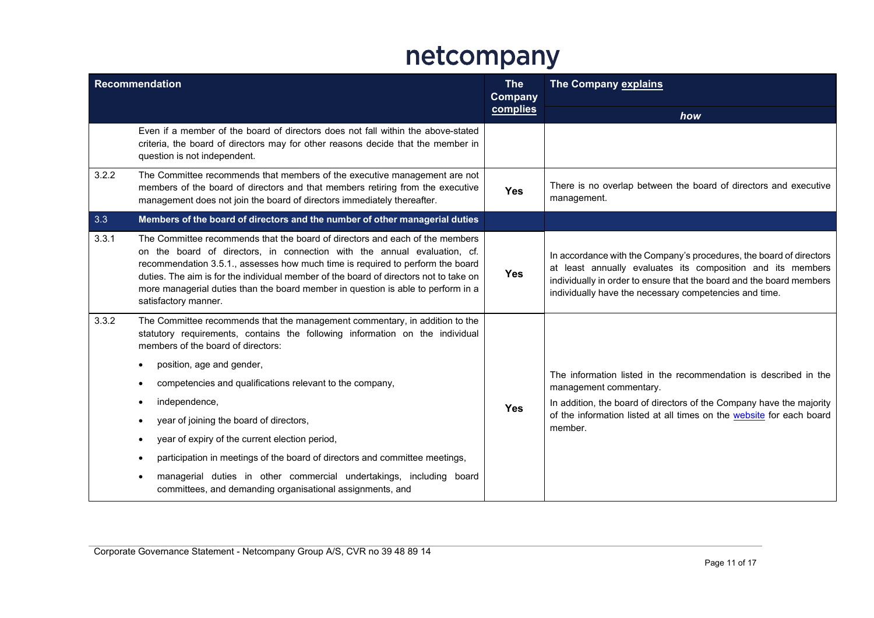| <b>Recommendation</b> |                                                                                                                                                                                                                                                                                                                                                                                                                                                                                                                                                                                                                                                                                                                | <b>The</b><br>Company | The Company explains                                                                                                                                                                                                                                                 |
|-----------------------|----------------------------------------------------------------------------------------------------------------------------------------------------------------------------------------------------------------------------------------------------------------------------------------------------------------------------------------------------------------------------------------------------------------------------------------------------------------------------------------------------------------------------------------------------------------------------------------------------------------------------------------------------------------------------------------------------------------|-----------------------|----------------------------------------------------------------------------------------------------------------------------------------------------------------------------------------------------------------------------------------------------------------------|
|                       |                                                                                                                                                                                                                                                                                                                                                                                                                                                                                                                                                                                                                                                                                                                | complies              | how                                                                                                                                                                                                                                                                  |
|                       | Even if a member of the board of directors does not fall within the above-stated<br>criteria, the board of directors may for other reasons decide that the member in<br>question is not independent.                                                                                                                                                                                                                                                                                                                                                                                                                                                                                                           |                       |                                                                                                                                                                                                                                                                      |
| 3.2.2                 | The Committee recommends that members of the executive management are not<br>members of the board of directors and that members retiring from the executive<br>management does not join the board of directors immediately thereafter.                                                                                                                                                                                                                                                                                                                                                                                                                                                                         | <b>Yes</b>            | There is no overlap between the board of directors and executive<br>management.                                                                                                                                                                                      |
| 3.3                   | Members of the board of directors and the number of other managerial duties                                                                                                                                                                                                                                                                                                                                                                                                                                                                                                                                                                                                                                    |                       |                                                                                                                                                                                                                                                                      |
| 3.3.1                 | The Committee recommends that the board of directors and each of the members<br>on the board of directors, in connection with the annual evaluation, cf.<br>recommendation 3.5.1., assesses how much time is required to perform the board<br>duties. The aim is for the individual member of the board of directors not to take on<br>more managerial duties than the board member in question is able to perform in a<br>satisfactory manner.                                                                                                                                                                                                                                                                | <b>Yes</b>            | In accordance with the Company's procedures, the board of directors<br>at least annually evaluates its composition and its members<br>individually in order to ensure that the board and the board members<br>individually have the necessary competencies and time. |
| 3.3.2                 | The Committee recommends that the management commentary, in addition to the<br>statutory requirements, contains the following information on the individual<br>members of the board of directors:<br>position, age and gender,<br>٠<br>competencies and qualifications relevant to the company,<br>$\bullet$<br>independence,<br>$\bullet$<br>year of joining the board of directors,<br>$\bullet$<br>year of expiry of the current election period,<br>$\bullet$<br>participation in meetings of the board of directors and committee meetings,<br>$\bullet$<br>managerial duties in other commercial undertakings, including board<br>$\bullet$<br>committees, and demanding organisational assignments, and | <b>Yes</b>            | The information listed in the recommendation is described in the<br>management commentary.<br>In addition, the board of directors of the Company have the majority<br>of the information listed at all times on the website for each board<br>member.                |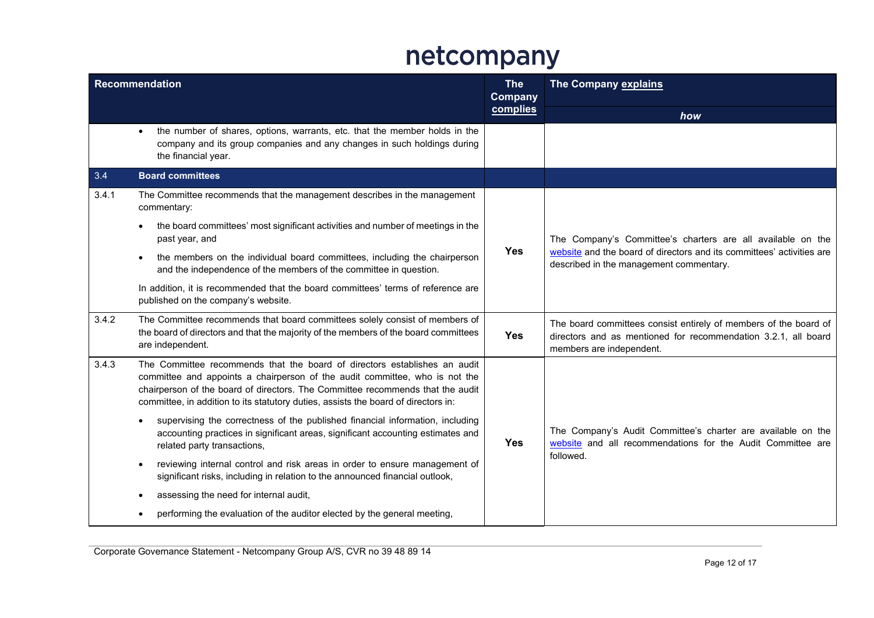| <b>Recommendation</b> |                                                                                                                                                                                                                                                                                                                                  | <b>The</b><br><b>Company</b> | The Company explains                                                                                                                                           |
|-----------------------|----------------------------------------------------------------------------------------------------------------------------------------------------------------------------------------------------------------------------------------------------------------------------------------------------------------------------------|------------------------------|----------------------------------------------------------------------------------------------------------------------------------------------------------------|
|                       |                                                                                                                                                                                                                                                                                                                                  | complies                     | how                                                                                                                                                            |
|                       | the number of shares, options, warrants, etc. that the member holds in the<br>$\bullet$<br>company and its group companies and any changes in such holdings during<br>the financial year.                                                                                                                                        |                              |                                                                                                                                                                |
| 3.4                   | <b>Board committees</b>                                                                                                                                                                                                                                                                                                          |                              |                                                                                                                                                                |
| 3.4.1                 | The Committee recommends that the management describes in the management<br>commentary:                                                                                                                                                                                                                                          |                              |                                                                                                                                                                |
|                       | the board committees' most significant activities and number of meetings in the<br>$\bullet$<br>past year, and                                                                                                                                                                                                                   |                              | The Company's Committee's charters are all available on the                                                                                                    |
|                       | the members on the individual board committees, including the chairperson<br>$\bullet$<br>and the independence of the members of the committee in question.                                                                                                                                                                      | <b>Yes</b>                   | website and the board of directors and its committees' activities are<br>described in the management commentary.                                               |
|                       | In addition, it is recommended that the board committees' terms of reference are<br>published on the company's website.                                                                                                                                                                                                          |                              |                                                                                                                                                                |
| 3.4.2                 | The Committee recommends that board committees solely consist of members of<br>the board of directors and that the majority of the members of the board committees<br>are independent.                                                                                                                                           | <b>Yes</b>                   | The board committees consist entirely of members of the board of<br>directors and as mentioned for recommendation 3.2.1, all board<br>members are independent. |
| 3.4.3                 | The Committee recommends that the board of directors establishes an audit<br>committee and appoints a chairperson of the audit committee, who is not the<br>chairperson of the board of directors. The Committee recommends that the audit<br>committee, in addition to its statutory duties, assists the board of directors in: |                              |                                                                                                                                                                |
|                       | supervising the correctness of the published financial information, including<br>$\bullet$<br>accounting practices in significant areas, significant accounting estimates and<br>related party transactions,                                                                                                                     | <b>Yes</b>                   | The Company's Audit Committee's charter are available on the<br>website and all recommendations for the Audit Committee are                                    |
|                       | reviewing internal control and risk areas in order to ensure management of<br>$\bullet$<br>significant risks, including in relation to the announced financial outlook,                                                                                                                                                          |                              | followed.                                                                                                                                                      |
|                       | assessing the need for internal audit,<br>٠                                                                                                                                                                                                                                                                                      |                              |                                                                                                                                                                |
|                       | performing the evaluation of the auditor elected by the general meeting,<br>$\bullet$                                                                                                                                                                                                                                            |                              |                                                                                                                                                                |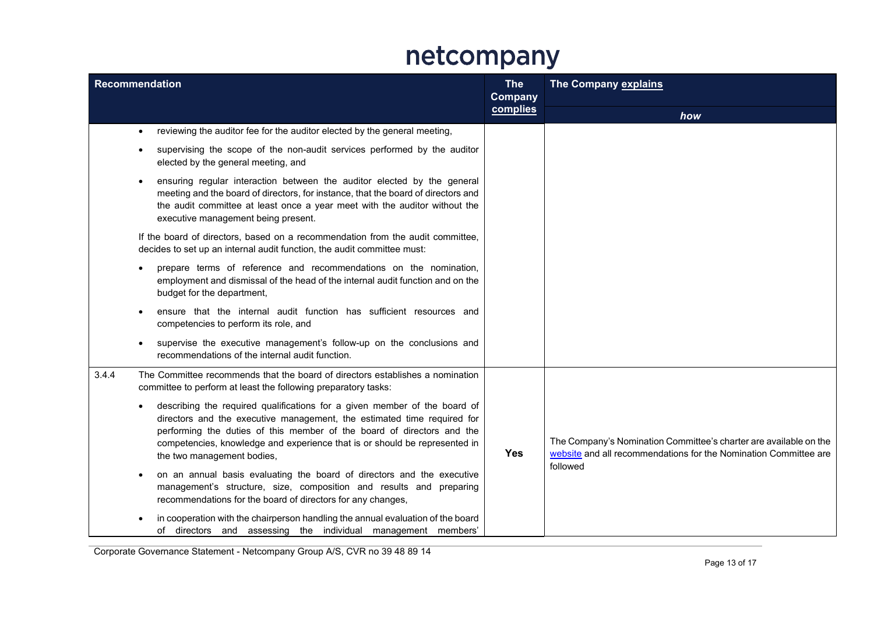| <b>Recommendation</b> |                                                                                                                                                                                                                                                                                                                                                         | <b>The</b><br><b>Company</b><br>complies | The Company explains                                                                                                                  |
|-----------------------|---------------------------------------------------------------------------------------------------------------------------------------------------------------------------------------------------------------------------------------------------------------------------------------------------------------------------------------------------------|------------------------------------------|---------------------------------------------------------------------------------------------------------------------------------------|
|                       |                                                                                                                                                                                                                                                                                                                                                         |                                          | how                                                                                                                                   |
|                       | reviewing the auditor fee for the auditor elected by the general meeting,<br>$\bullet$                                                                                                                                                                                                                                                                  |                                          |                                                                                                                                       |
|                       | supervising the scope of the non-audit services performed by the auditor<br>$\bullet$<br>elected by the general meeting, and                                                                                                                                                                                                                            |                                          |                                                                                                                                       |
|                       | ensuring regular interaction between the auditor elected by the general<br>$\bullet$<br>meeting and the board of directors, for instance, that the board of directors and<br>the audit committee at least once a year meet with the auditor without the<br>executive management being present.                                                          |                                          |                                                                                                                                       |
|                       | If the board of directors, based on a recommendation from the audit committee,<br>decides to set up an internal audit function, the audit committee must:                                                                                                                                                                                               |                                          |                                                                                                                                       |
|                       | prepare terms of reference and recommendations on the nomination,<br>$\bullet$<br>employment and dismissal of the head of the internal audit function and on the<br>budget for the department,                                                                                                                                                          |                                          |                                                                                                                                       |
|                       | ensure that the internal audit function has sufficient resources and<br>competencies to perform its role, and                                                                                                                                                                                                                                           |                                          |                                                                                                                                       |
|                       | supervise the executive management's follow-up on the conclusions and<br>recommendations of the internal audit function.                                                                                                                                                                                                                                |                                          |                                                                                                                                       |
| 3.4.4                 | The Committee recommends that the board of directors establishes a nomination<br>committee to perform at least the following preparatory tasks:                                                                                                                                                                                                         |                                          |                                                                                                                                       |
|                       | describing the required qualifications for a given member of the board of<br>$\bullet$<br>directors and the executive management, the estimated time required for<br>performing the duties of this member of the board of directors and the<br>competencies, knowledge and experience that is or should be represented in<br>the two management bodies, | <b>Yes</b>                               | The Company's Nomination Committee's charter are available on the<br>website and all recommendations for the Nomination Committee are |
|                       | on an annual basis evaluating the board of directors and the executive<br>management's structure, size, composition and results and preparing<br>recommendations for the board of directors for any changes,                                                                                                                                            |                                          | followed                                                                                                                              |
|                       | in cooperation with the chairperson handling the annual evaluation of the board<br>of directors and assessing the individual management members'                                                                                                                                                                                                        |                                          |                                                                                                                                       |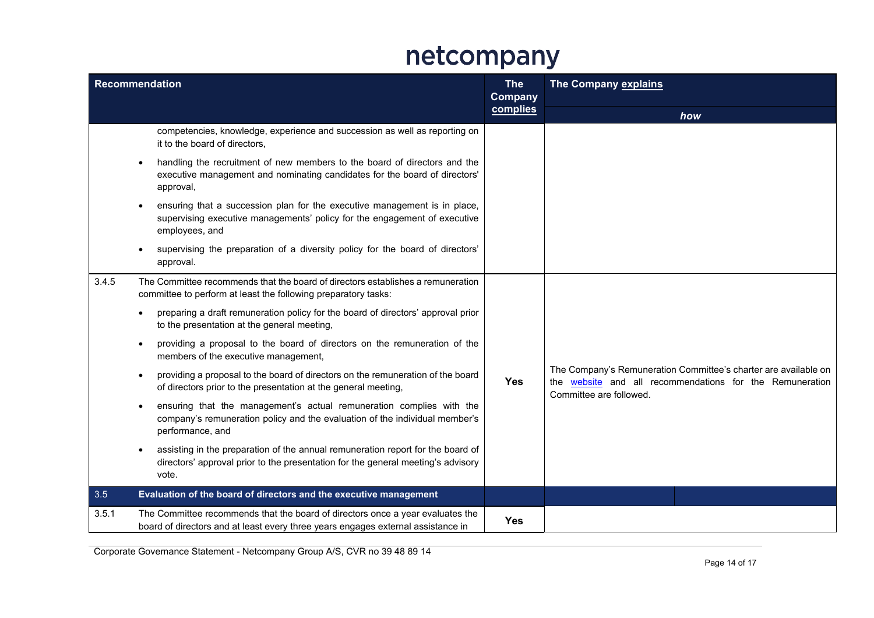| <b>Recommendation</b> |                                                                                                                                                                                      | <b>The</b><br>Company | <b>The Company explains</b>                                                                                                                            |
|-----------------------|--------------------------------------------------------------------------------------------------------------------------------------------------------------------------------------|-----------------------|--------------------------------------------------------------------------------------------------------------------------------------------------------|
|                       |                                                                                                                                                                                      | complies              | how                                                                                                                                                    |
|                       | competencies, knowledge, experience and succession as well as reporting on<br>it to the board of directors,                                                                          |                       |                                                                                                                                                        |
|                       | handling the recruitment of new members to the board of directors and the<br>$\bullet$<br>executive management and nominating candidates for the board of directors'<br>approval,    |                       |                                                                                                                                                        |
|                       | ensuring that a succession plan for the executive management is in place,<br>supervising executive managements' policy for the engagement of executive<br>employees, and             |                       |                                                                                                                                                        |
|                       | supervising the preparation of a diversity policy for the board of directors'<br>approval.                                                                                           |                       |                                                                                                                                                        |
| 3.4.5                 | The Committee recommends that the board of directors establishes a remuneration<br>committee to perform at least the following preparatory tasks:                                    |                       |                                                                                                                                                        |
|                       | preparing a draft remuneration policy for the board of directors' approval prior<br>to the presentation at the general meeting,                                                      |                       |                                                                                                                                                        |
|                       | providing a proposal to the board of directors on the remuneration of the<br>$\bullet$<br>members of the executive management,                                                       |                       |                                                                                                                                                        |
|                       | providing a proposal to the board of directors on the remuneration of the board<br>$\bullet$<br>of directors prior to the presentation at the general meeting,                       | <b>Yes</b>            | The Company's Remuneration Committee's charter are available on<br>the website and all recommendations for the Remuneration<br>Committee are followed. |
|                       | ensuring that the management's actual remuneration complies with the<br>$\bullet$<br>company's remuneration policy and the evaluation of the individual member's<br>performance, and |                       |                                                                                                                                                        |
|                       | assisting in the preparation of the annual remuneration report for the board of<br>directors' approval prior to the presentation for the general meeting's advisory<br>vote.         |                       |                                                                                                                                                        |
| 3.5                   | Evaluation of the board of directors and the executive management                                                                                                                    |                       |                                                                                                                                                        |
| 3.5.1                 | The Committee recommends that the board of directors once a year evaluates the<br>board of directors and at least every three years engages external assistance in                   | <b>Yes</b>            |                                                                                                                                                        |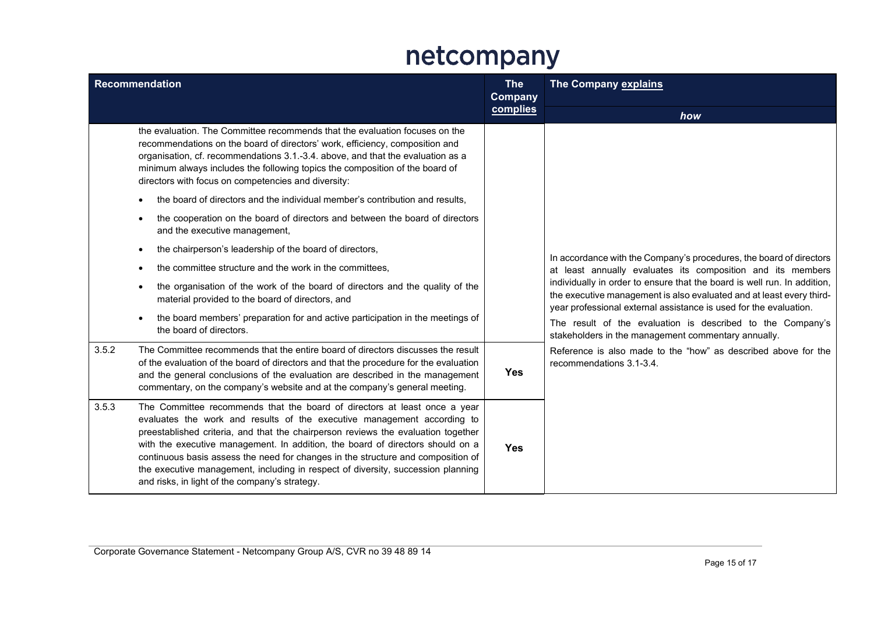| <b>Recommendation</b> |                                                                                                                                                                                                                                                                                                                                                                                                                                                                                                                                                       | <b>The</b><br><b>Company</b> | The Company explains                                                                                                                                                                                                  |
|-----------------------|-------------------------------------------------------------------------------------------------------------------------------------------------------------------------------------------------------------------------------------------------------------------------------------------------------------------------------------------------------------------------------------------------------------------------------------------------------------------------------------------------------------------------------------------------------|------------------------------|-----------------------------------------------------------------------------------------------------------------------------------------------------------------------------------------------------------------------|
|                       |                                                                                                                                                                                                                                                                                                                                                                                                                                                                                                                                                       | complies                     | how                                                                                                                                                                                                                   |
|                       | the evaluation. The Committee recommends that the evaluation focuses on the<br>recommendations on the board of directors' work, efficiency, composition and<br>organisation, cf. recommendations 3.1.-3.4. above, and that the evaluation as a<br>minimum always includes the following topics the composition of the board of<br>directors with focus on competencies and diversity:                                                                                                                                                                 |                              |                                                                                                                                                                                                                       |
|                       | the board of directors and the individual member's contribution and results,<br>$\bullet$                                                                                                                                                                                                                                                                                                                                                                                                                                                             |                              |                                                                                                                                                                                                                       |
|                       | the cooperation on the board of directors and between the board of directors<br>$\bullet$<br>and the executive management,                                                                                                                                                                                                                                                                                                                                                                                                                            |                              |                                                                                                                                                                                                                       |
|                       | the chairperson's leadership of the board of directors,<br>$\bullet$                                                                                                                                                                                                                                                                                                                                                                                                                                                                                  |                              | In accordance with the Company's procedures, the board of directors                                                                                                                                                   |
|                       | the committee structure and the work in the committees,<br>$\bullet$                                                                                                                                                                                                                                                                                                                                                                                                                                                                                  |                              | at least annually evaluates its composition and its members                                                                                                                                                           |
|                       | the organisation of the work of the board of directors and the quality of the<br>$\bullet$<br>material provided to the board of directors, and                                                                                                                                                                                                                                                                                                                                                                                                        |                              | individually in order to ensure that the board is well run. In addition,<br>the executive management is also evaluated and at least every third-<br>year professional external assistance is used for the evaluation. |
|                       | the board members' preparation for and active participation in the meetings of<br>$\bullet$<br>the board of directors.                                                                                                                                                                                                                                                                                                                                                                                                                                |                              | The result of the evaluation is described to the Company's<br>stakeholders in the management commentary annually.                                                                                                     |
| 3.5.2                 | The Committee recommends that the entire board of directors discusses the result<br>of the evaluation of the board of directors and that the procedure for the evaluation<br>and the general conclusions of the evaluation are described in the management<br>commentary, on the company's website and at the company's general meeting.                                                                                                                                                                                                              | <b>Yes</b>                   | Reference is also made to the "how" as described above for the<br>recommendations 3.1-3.4.                                                                                                                            |
| 3.5.3                 | The Committee recommends that the board of directors at least once a year<br>evaluates the work and results of the executive management according to<br>preestablished criteria, and that the chairperson reviews the evaluation together<br>with the executive management. In addition, the board of directors should on a<br>continuous basis assess the need for changes in the structure and composition of<br>the executive management, including in respect of diversity, succession planning<br>and risks, in light of the company's strategy. | <b>Yes</b>                   |                                                                                                                                                                                                                       |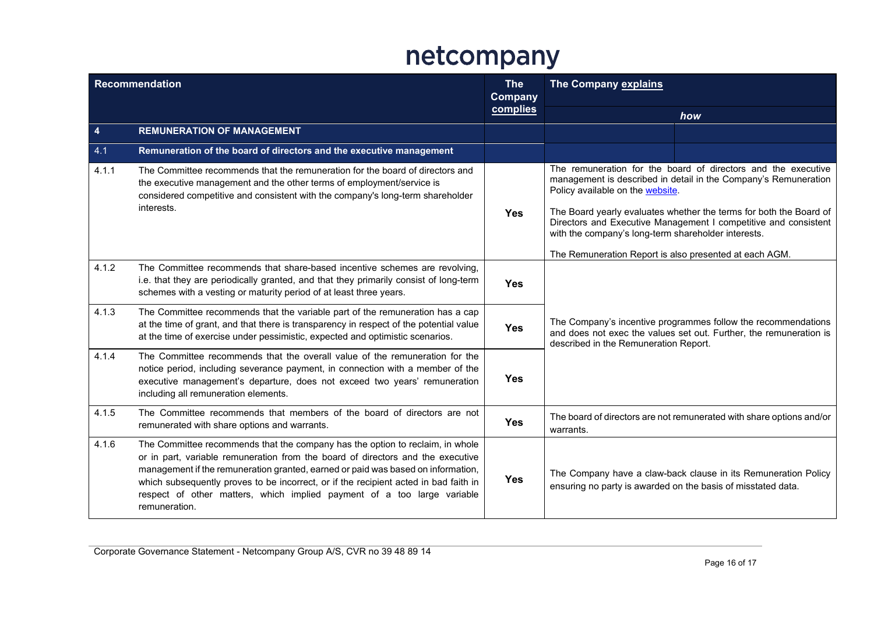| <b>Recommendation</b> |                                                                                                                                                                                                                                                                                                                                                                                                                                          | <b>The</b><br><b>Company</b> | The Company explains                                                                                                                                                                                                                                                                                                                                                                                                           |
|-----------------------|------------------------------------------------------------------------------------------------------------------------------------------------------------------------------------------------------------------------------------------------------------------------------------------------------------------------------------------------------------------------------------------------------------------------------------------|------------------------------|--------------------------------------------------------------------------------------------------------------------------------------------------------------------------------------------------------------------------------------------------------------------------------------------------------------------------------------------------------------------------------------------------------------------------------|
|                       |                                                                                                                                                                                                                                                                                                                                                                                                                                          | complies                     | how                                                                                                                                                                                                                                                                                                                                                                                                                            |
| 4                     | <b>REMUNERATION OF MANAGEMENT</b>                                                                                                                                                                                                                                                                                                                                                                                                        |                              |                                                                                                                                                                                                                                                                                                                                                                                                                                |
| 4.1                   | Remuneration of the board of directors and the executive management                                                                                                                                                                                                                                                                                                                                                                      |                              |                                                                                                                                                                                                                                                                                                                                                                                                                                |
| 4.1.1                 | The Committee recommends that the remuneration for the board of directors and<br>the executive management and the other terms of employment/service is<br>considered competitive and consistent with the company's long-term shareholder<br>interests.                                                                                                                                                                                   | <b>Yes</b>                   | The remuneration for the board of directors and the executive<br>management is described in detail in the Company's Remuneration<br>Policy available on the website.<br>The Board yearly evaluates whether the terms for both the Board of<br>Directors and Executive Management I competitive and consistent<br>with the company's long-term shareholder interests.<br>The Remuneration Report is also presented at each AGM. |
| 4.1.2                 | The Committee recommends that share-based incentive schemes are revolving,<br>i.e. that they are periodically granted, and that they primarily consist of long-term<br>schemes with a vesting or maturity period of at least three years.                                                                                                                                                                                                | <b>Yes</b>                   |                                                                                                                                                                                                                                                                                                                                                                                                                                |
| 4.1.3                 | The Committee recommends that the variable part of the remuneration has a cap<br>at the time of grant, and that there is transparency in respect of the potential value<br>at the time of exercise under pessimistic, expected and optimistic scenarios.                                                                                                                                                                                 | <b>Yes</b>                   | The Company's incentive programmes follow the recommendations<br>and does not exec the values set out. Further, the remuneration is<br>described in the Remuneration Report.                                                                                                                                                                                                                                                   |
| 4.1.4                 | The Committee recommends that the overall value of the remuneration for the<br>notice period, including severance payment, in connection with a member of the<br>executive management's departure, does not exceed two years' remuneration<br>including all remuneration elements.                                                                                                                                                       | Yes                          |                                                                                                                                                                                                                                                                                                                                                                                                                                |
| 4.1.5                 | The Committee recommends that members of the board of directors are not<br>remunerated with share options and warrants.                                                                                                                                                                                                                                                                                                                  | <b>Yes</b>                   | The board of directors are not remunerated with share options and/or<br>warrants.                                                                                                                                                                                                                                                                                                                                              |
| 4.1.6                 | The Committee recommends that the company has the option to reclaim, in whole<br>or in part, variable remuneration from the board of directors and the executive<br>management if the remuneration granted, earned or paid was based on information,<br>which subsequently proves to be incorrect, or if the recipient acted in bad faith in<br>respect of other matters, which implied payment of a too large variable<br>remuneration. | <b>Yes</b>                   | The Company have a claw-back clause in its Remuneration Policy<br>ensuring no party is awarded on the basis of misstated data.                                                                                                                                                                                                                                                                                                 |